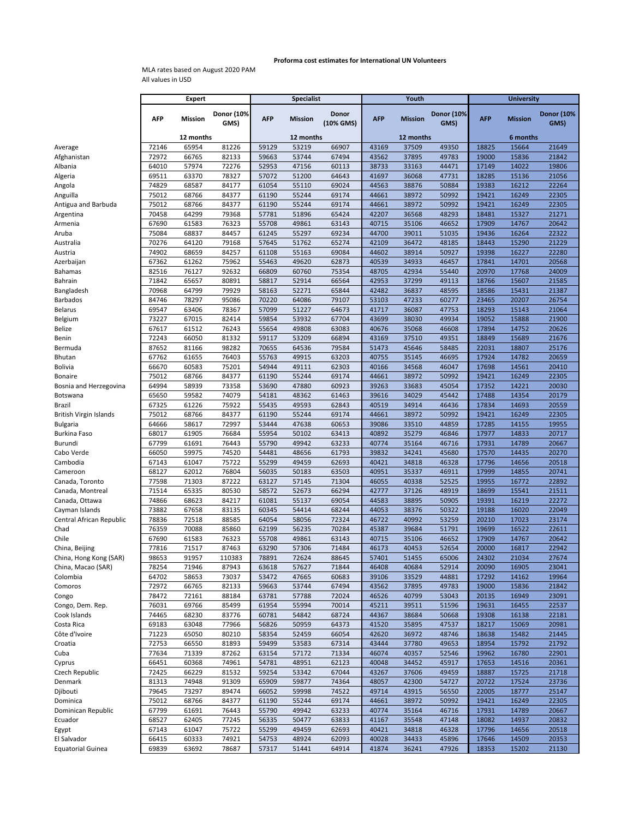## **Proforma cost estimates for International UN Volunteers**

MLA rates based on August 2020 PAM All values in USD

|                          | <b>Expert</b>  |                |                    | <b>Specialist</b> |                |                    |                | Youth          |                           | <b>University</b> |                |                           |  |
|--------------------------|----------------|----------------|--------------------|-------------------|----------------|--------------------|----------------|----------------|---------------------------|-------------------|----------------|---------------------------|--|
|                          | <b>AFP</b>     | <b>Mission</b> | Donor (10%<br>GMS) | <b>AFP</b>        | <b>Mission</b> | Donor<br>(10% GMS) | <b>AFP</b>     | <b>Mission</b> | <b>Donor (10%</b><br>GMS) | <b>AFP</b>        | <b>Mission</b> | <b>Donor (10%</b><br>GMS) |  |
|                          |                | 12 months      |                    |                   | 12 months      |                    |                | 12 months      |                           |                   | 6 months       |                           |  |
| Average                  | 72146          | 65954          | 81226              | 59129             | 53219          | 66907              | 43169          | 37509          | 49350                     | 18825             | 15664          | 21649                     |  |
| Afghanistan              | 72972          | 66765          | 82133              | 59663             | 53744          | 67494              | 43562          | 37895          | 49783                     | 19000             | 15836          | 21842                     |  |
| Albania                  | 64010          | 57974          | 72276              | 52953             | 47156          | 60113              | 38733          | 33163          | 44471                     | 17149             | 14022          | 19806                     |  |
| Algeria                  | 69511          | 63370          | 78327              | 57072             | 51200          | 64643              | 41697          | 36068          | 47731                     | 18285             | 15136          | 21056                     |  |
| Angola                   | 74829          | 68587          | 84177              | 61054             | 55110          | 69024              | 44563          | 38876          | 50884                     | 19383             | 16212          | 22264                     |  |
| Anguilla                 | 75012          | 68766          | 84377              | 61190             | 55244          | 69174              | 44661          | 38972          | 50992                     | 19421             | 16249          | 22305                     |  |
| Antigua and Barbuda      | 75012          | 68766          | 84377              | 61190             | 55244          | 69174              | 44661          | 38972          | 50992                     | 19421             | 16249          | 22305                     |  |
| Argentina                | 70458          | 64299          | 79368              | 57781             | 51896          | 65424              | 42207          | 36568          | 48293                     | 18481             | 15327          | 21271                     |  |
| Armenia                  | 67690          | 61583          | 76323              | 55708             | 49861          | 63143              | 40715          | 35106          | 46652                     | 17909             | 14767          | 20642                     |  |
| Aruba                    | 75084          | 68837          | 84457              | 61245             | 55297          | 69234              | 44700          | 39011          | 51035                     | 19436             | 16264          | 22322                     |  |
| Australia                | 70276          | 64120          | 79168              | 57645             | 51762          | 65274              | 42109          | 36472          | 48185                     | 18443             | 15290          | 21229                     |  |
| Austria                  | 74902          | 68659          | 84257              | 61108             | 55163          | 69084              | 44602          | 38914          | 50927                     | 19398             | 16227          | 22280                     |  |
| Azerbaijan               | 67362          | 61262          | 75962              | 55463             | 49620          | 62873              | 40539          | 34933          | 46457                     | 17841             | 14701          | 20568                     |  |
| Bahamas                  | 82516          | 76127          | 92632              | 66809             | 60760          | 75354              | 48705          | 42934          | 55440                     | 20970             | 17768          | 24009                     |  |
| Bahrain                  | 71842          | 65657          | 80891              | 58817             | 52914          | 66564              | 42953          | 37299          | 49113                     | 18766             | 15607          | 21585                     |  |
| Bangladesh               | 70968          | 64799          | 79929              | 58163             | 52271          | 65844              | 42482          | 36837          | 48595                     | 18586             | 15431          | 21387                     |  |
| Barbados                 | 84746          | 78297          | 95086              | 70220             | 64086          | 79107              | 53103          | 47233          | 60277                     | 23465             | 20207          | 26754                     |  |
| Belarus                  | 69547          | 63406          | 78367              | 57099             | 51227          | 64673              | 41717          | 36087          | 47753                     | 18293             | 15143          | 21064                     |  |
| Belgium                  | 73227          | 67015          | 82414              | 59854             | 53932          | 67704              | 43699          | 38030          | 49934                     | 19052             | 15888          | 21900                     |  |
| Belize                   | 67617          | 61512          | 76243              | 55654             | 49808          | 63083              | 40676          | 35068          | 46608                     | 17894             | 14752          | 20626                     |  |
| Benin                    | 72243          | 66050          | 81332              | 59117             | 53209          | 66894              | 43169          | 37510          | 49351                     | 18849             | 15689          | 21676                     |  |
| Bermuda                  | 87652          | 81166          | 98282              | 70655             | 64536          | 79584              | 51473          | 45646          | 58485                     | 22031             | 18807          | 25176                     |  |
| Bhutan                   | 67762          | 61655          | 76403              | 55763             | 49915          | 63203              | 40755          | 35145          | 46695                     | 17924             | 14782          | 20659                     |  |
| Bolivia                  | 66670          | 60583          | 75201              | 54944             | 49111          | 62303              | 40166          | 34568          | 46047                     | 17698             | 14561          | 20410                     |  |
| Bonaire                  | 75012          | 68766          | 84377              | 61190             | 55244          | 69174              | 44661          | 38972          | 50992                     | 19421             | 16249          | 22305                     |  |
| Bosnia and Herzegovina   | 64994          | 58939          | 73358              | 53690             | 47880          | 60923              | 39263          | 33683          | 45054                     | 17352             | 14221          | 20030                     |  |
| Botswana                 | 65650          | 59582          | 74079              | 54181             | 48362<br>49593 | 61463<br>62843     | 39616<br>40519 | 34029<br>34914 | 45442                     | 17488             | 14354          | 20179                     |  |
| Brazil                   | 67325<br>75012 | 61226<br>68766 | 75922<br>84377     | 55435<br>61190    | 55244          | 69174              | 44661          | 38972          | 46436<br>50992            | 17834<br>19421    | 14693<br>16249 | 20559<br>22305            |  |
| British Virgin Islands   | 64666          | 58617          | 72997              | 53444             | 47638          | 60653              | 39086          | 33510          | 44859                     | 17285             | 14155          | 19955                     |  |
| Bulgaria                 | 68017          | 61905          | 76684              | 55954             | 50102          | 63413              | 40892          | 35279          | 46846                     | 17977             | 14833          | 20717                     |  |
| Burkina Faso<br>Burundi  | 67799          | 61691          | 76443              | 55790             | 49942          | 63233              | 40774          | 35164          | 46716                     | 17931             | 14789          | 20667                     |  |
| Cabo Verde               | 66050          | 59975          | 74520              | 54481             | 48656          | 61793              | 39832          | 34241          | 45680                     | 17570             | 14435          | 20270                     |  |
| Cambodia                 | 67143          | 61047          | 75722              | 55299             | 49459          | 62693              | 40421          | 34818          | 46328                     | 17796             | 14656          | 20518                     |  |
| Cameroon                 | 68127          | 62012          | 76804              | 56035             | 50183          | 63503              | 40951          | 35337          | 46911                     | 17999             | 14855          | 20741                     |  |
| Canada, Toronto          | 77598          | 71303          | 87222              | 63127             | 57145          | 71304              | 46055          | 40338          | 52525                     | 19955             | 16772          | 22892                     |  |
| Canada, Montreal         | 71514          | 65335          | 80530              | 58572             | 52673          | 66294              | 42777          | 37126          | 48919                     | 18699             | 15541          | 21511                     |  |
| Canada, Ottawa           | 74866          | 68623          | 84217              | 61081             | 55137          | 69054              | 44583          | 38895          | 50905                     | 19391             | 16219          | 22272                     |  |
| Cayman Islands           | 73882          | 67658          | 83135              | 60345             | 54414          | 68244              | 44053          | 38376          | 50322                     | 19188             | 16020          | 22049                     |  |
| Central African Republic | 78836          | 72518          | 88585              | 64054             | 58056          | 72324              | 46722          | 40992          | 53259                     | 20210             | 17023          | 23174                     |  |
| Chad                     | 76359          | 70088          | 85860              | 62199             | 56235          | 70284              | 45387          | 39684          | 51791                     | 19699             | 16522          | 22611                     |  |
| Chile                    | 67690          | 61583          | 76323              | 55708             | 49861          | 63143              | 40715          | 35106          | 46652                     | 17909             | 14767          | 20642                     |  |
| China, Beijing           | 77816          | 71517          | 87463              | 63290             | 57306          | 71484              | 46173          | 40453          | 52654                     | 20000             | 16817          | 22942                     |  |
| China, Hong Kong (SAR)   | 98653          | 91957          | 110383             | 78891             | 72624          | 88645              | 57401          | 51455          | 65006                     | 24302             | 21034          | 27674                     |  |
| China, Macao (SAR)       | 78254          | 71946          | 87943              | 63618             | 57627          | 71844              | 46408          | 40684          | 52914                     | 20090             | 16905          | 23041                     |  |
| Colombia                 | 64702          | 58653          | 73037              | 53472             | 47665          | 60683              | 39106          | 33529          | 44881                     | 17292             | 14162          | 19964                     |  |
| Comoros                  | 72972          | 66765          | 82133              | 59663             | 53744          | 67494              | 43562          | 37895          | 49783                     | 19000             | 15836          | 21842                     |  |
| Congo                    | 78472          | 72161          | 88184              | 63781             | 57788          | 72024              | 46526          | 40799          | 53043                     | 20135             | 16949          | 23091                     |  |
| Congo, Dem. Rep.         | 76031          | 69766          | 85499              | 61954             | 55994          | 70014              | 45211          | 39511          | 51596                     | 19631             | 16455          | 22537                     |  |
| Cook Islands             | 74465          | 68230          | 83776              | 60781             | 54842          | 68724              | 44367          | 38684          | 50668                     | 19308             | 16138          | 22181                     |  |
| Costa Rica               | 69183          | 63048          | 77966              | 56826             | 50959          | 64373              | 41520          | 35895          | 47537                     | 18217             | 15069          | 20981                     |  |
| Côte d'Ivoire            | 71223          | 65050          | 80210              | 58354             | 52459          | 66054              | 42620          | 36972          | 48746                     | 18638             | 15482          | 21445                     |  |
| Croatia                  | 72753          | 66550          | 81893              | 59499             | 53583          | 67314              | 43444          | 37780          | 49653                     | 18954             | 15792          | 21792                     |  |
| Cuba                     | 77634          | 71339          | 87262              | 63154             | 57172          | 71334              | 46074          | 40357          | 52546                     | 19962             | 16780          | 22901                     |  |
| Cyprus                   | 66451          | 60368          | 74961              | 54781             | 48951          | 62123              | 40048          | 34452          | 45917                     | 17653             | 14516          | 20361                     |  |
| Czech Republic           | 72425          | 66229          | 81532              | 59254             | 53342          | 67044              | 43267          | 37606          | 49459                     | 18887             | 15725          | 21718                     |  |
| Denmark                  | 81313          | 74948          | 91309              | 65909             | 59877          | 74364              | 48057          | 42300          | 54727                     | 20722             | 17524          | 23736                     |  |
| Djibouti                 | 79645          | 73297          | 89474              | 66052             | 59998          | 74522              | 49714          | 43915          | 56550                     | 22005             | 18777          | 25147                     |  |
| Dominica                 | 75012          | 68766          | 84377              | 61190             | 55244          | 69174              | 44661          | 38972          | 50992                     | 19421             | 16249          | 22305                     |  |
| Dominican Republic       | 67799          | 61691          | 76443              | 55790             | 49942          | 63233              | 40774          | 35164          | 46716                     | 17931             | 14789          | 20667                     |  |
| Ecuador                  | 68527          | 62405          | 77245              | 56335             | 50477          | 63833              | 41167          | 35548          | 47148                     | 18082             | 14937          | 20832                     |  |
| Egypt                    | 67143          | 61047          | 75722              | 55299             | 49459          | 62693              | 40421          | 34818          | 46328                     | 17796             | 14656          | 20518                     |  |
| El Salvador              | 66415          | 60333          | 74921              | 54753             | 48924          | 62093              | 40028          | 34433          | 45896                     | 17646             | 14509          | 20353                     |  |
| <b>Equatorial Guinea</b> | 69839          | 63692          | 78687              | 57317             | 51441          | 64914              | 41874          | 36241          | 47926                     | 18353             | 15202          | 21130                     |  |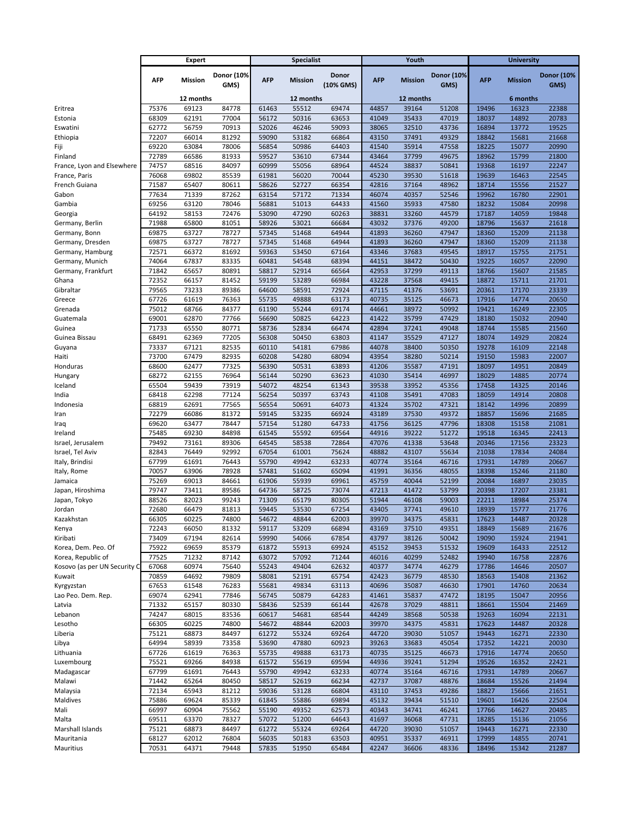|                                  | <b>Expert</b>  |                    |                | <b>Specialist</b> |                    |                |                | Youth              |                   | <b>University</b> |                   |                   |
|----------------------------------|----------------|--------------------|----------------|-------------------|--------------------|----------------|----------------|--------------------|-------------------|-------------------|-------------------|-------------------|
|                                  |                |                    | Donor (10%     |                   |                    | Donor          |                |                    | <b>Donor (10%</b> |                   |                   | <b>Donor (10%</b> |
|                                  | <b>AFP</b>     | Mission            | GMS)           | <b>AFP</b>        | <b>Mission</b>     | (10% GMS)      | <b>AFP</b>     | <b>Mission</b>     | GMS)              | <b>AFP</b>        | <b>Mission</b>    | GMS)              |
|                                  |                |                    |                |                   |                    |                |                |                    |                   |                   |                   |                   |
| Eritrea                          | 75376          | 12 months<br>69123 | 84778          | 61463             | 12 months<br>55512 | 69474          | 44857          | 12 months<br>39164 | 51208             | 19496             | 6 months<br>16323 | 22388             |
| Estonia                          | 68309          | 62191              | 77004          | 56172             | 50316              | 63653          | 41049          | 35433              | 47019             | 18037             | 14892             | 20783             |
| Eswatini                         | 62772          | 56759              | 70913          | 52026             | 46246              | 59093          | 38065          | 32510              | 43736             | 16894             | 13772             | 19525             |
| Ethiopia                         | 72207          | 66014              | 81292          | 59090             | 53182              | 66864          | 43150          | 37491              | 49329             | 18842             | 15681             | 21668             |
| Fiji                             | 69220          | 63084              | 78006          | 56854             | 50986              | 64403          | 41540          | 35914              | 47558             | 18225             | 15077             | 20990             |
| Finland                          | 72789          | 66586              | 81933          | 59527             | 53610              | 67344          | 43464          | 37799              | 49675             | 18962             | 15799             | 21800             |
| France, Lyon and Elsewhere       | 74757          | 68516              | 84097          | 60999             | 55056              | 68964          | 44524          | 38837              | 50841             | 19368             | 16197             | 22247             |
| France, Paris                    | 76068          | 69802              | 85539          | 61981             | 56020              | 70044          | 45230          | 39530              | 51618             | 19639             | 16463             | 22545             |
| French Guiana                    | 71587          | 65407              | 80611          | 58626             | 52727              | 66354          | 42816          | 37164              | 48962             | 18714             | 15556             | 21527             |
| Gabon                            | 77634          | 71339              | 87262          | 63154             | 57172              | 71334          | 46074          | 40357              | 52546             | 19962             | 16780             | 22901             |
| Gambia                           | 69256          | 63120              | 78046          | 56881             | 51013              | 64433          | 41560          | 35933              | 47580             | 18232             | 15084             | 20998             |
| Georgia                          | 64192          | 58153              | 72476          | 53090             | 47290              | 60263          | 38831          | 33260              | 44579             | 17187             | 14059             | 19848             |
| Germany, Berlin<br>Germany, Bonn | 71988<br>69875 | 65800<br>63727     | 81051<br>78727 | 58926<br>57345    | 53021<br>51468     | 66684<br>64944 | 43032<br>41893 | 37376<br>36260     | 49200<br>47947    | 18796<br>18360    | 15637<br>15209    | 21618<br>21138    |
| Germany, Dresden                 | 69875          | 63727              | 78727          | 57345             | 51468              | 64944          | 41893          | 36260              | 47947             | 18360             | 15209             | 21138             |
| Germany, Hamburg                 | 72571          | 66372              | 81692          | 59363             | 53450              | 67164          | 43346          | 37683              | 49545             | 18917             | 15755             | 21751             |
| Germany, Munich                  | 74064          | 67837              | 83335          | 60481             | 54548              | 68394          | 44151          | 38472              | 50430             | 19225             | 16057             | 22090             |
| Germany, Frankfurt               | 71842          | 65657              | 80891          | 58817             | 52914              | 66564          | 42953          | 37299              | 49113             | 18766             | 15607             | 21585             |
| Ghana                            | 72352          | 66157              | 81452          | 59199             | 53289              | 66984          | 43228          | 37568              | 49415             | 18872             | 15711             | 21701             |
| Gibraltar                        | 79565          | 73233              | 89386          | 64600             | 58591              | 72924          | 47115          | 41376              | 53691             | 20361             | 17170             | 23339             |
| Greece                           | 67726          | 61619              | 76363          | 55735             | 49888              | 63173          | 40735          | 35125              | 46673             | 17916             | 14774             | 20650             |
| Grenada                          | 75012          | 68766              | 84377          | 61190             | 55244              | 69174          | 44661          | 38972              | 50992             | 19421             | 16249             | 22305             |
| Guatemala                        | 69001          | 62870              | 77766          | 56690             | 50825              | 64223          | 41422          | 35799              | 47429             | 18180             | 15032             | 20940             |
| Guinea                           | 71733          | 65550              | 80771          | 58736             | 52834              | 66474          | 42894          | 37241              | 49048             | 18744             | 15585             | 21560             |
| Guinea Bissau                    | 68491          | 62369              | 77205          | 56308             | 50450              | 63803          | 41147          | 35529              | 47127             | 18074             | 14929             | 20824             |
| Guyana                           | 73337          | 67121              | 82535          | 60110             | 54181              | 67986          | 44078          | 38400              | 50350             | 19278             | 16109             | 22148             |
| Haiti<br>Honduras                | 73700<br>68600 | 67479<br>62477     | 82935<br>77325 | 60208<br>56390    | 54280<br>50531     | 68094<br>63893 | 43954<br>41206 | 38280<br>35587     | 50214<br>47191    | 19150<br>18097    | 15983<br>14951    | 22007<br>20849    |
| Hungary                          | 68272          | 62155              | 76964          | 56144             | 50290              | 63623          | 41030          | 35414              | 46997             | 18029             | 14885             | 20774             |
| Iceland                          | 65504          | 59439              | 73919          | 54072             | 48254              | 61343          | 39538          | 33952              | 45356             | 17458             | 14325             | 20146             |
| India                            | 68418          | 62298              | 77124          | 56254             | 50397              | 63743          | 41108          | 35491              | 47083             | 18059             | 14914             | 20808             |
| Indonesia                        | 68819          | 62691              | 77565          | 56554             | 50691              | 64073          | 41324          | 35702              | 47321             | 18142             | 14996             | 20899             |
| Iran                             | 72279          | 66086              | 81372          | 59145             | 53235              | 66924          | 43189          | 37530              | 49372             | 18857             | 15696             | 21685             |
| Iraq                             | 69620          | 63477              | 78447          | 57154             | 51280              | 64733          | 41756          | 36125              | 47796             | 18308             | 15158             | 21081             |
| Ireland                          | 75485          | 69230              | 84898          | 61545             | 55592              | 69564          | 44916          | 39222              | 51272             | 19518             | 16345             | 22413             |
| Israel, Jerusalem                | 79492          | 73161              | 89306          | 64545             | 58538              | 72864          | 47076          | 41338              | 53648             | 20346             | 17156             | 23323             |
| Israel, Tel Aviv                 | 82843          | 76449              | 92992          | 67054             | 61001              | 75624          | 48882          | 43107              | 55634             | 21038             | 17834             | 24084             |
| Italy, Brindisi                  | 67799          | 61691              | 76443          | 55790             | 49942              | 63233          | 40774          | 35164              | 46716             | 17931             | 14789             | 20667             |
| Italy, Rome                      | 70057          | 63906              | 78928          | 57481             | 51602              | 65094          | 41991          | 36356              | 48055             | 18398             | 15246             | 21180             |
| Jamaica                          | 75269<br>79747 | 69013<br>73411     | 84661<br>89586 | 61906<br>64736    | 55939<br>58725     | 69961<br>73074 | 45759<br>47213 | 40044<br>41472     | 52199<br>53799    | 20084<br>20398    | 16897<br>17207    | 23035<br>23381    |
| Japan, Hiroshima<br>Japan, Tokyo | 88526          | 82023              | 99243          | 71309             | 65179              | 80305          | 51944          | 46108              | 59003             | 22211             | 18984             | 25374             |
| Jordan                           | 72680          | 66479              | 81813          | 59445             | 53530              | 67254          | 43405          | 37741              | 49610             | 18939             | 15777             | 21776             |
| Kazakhstan                       | 66305          | 60225              | 74800          | 54672             | 48844              | 62003          | 39970          | 34375              | 45831             | 17623             | 14487             | 20328             |
| Kenya                            | 72243          | 66050              | 81332          | 59117             | 53209              | 66894          | 43169          | 37510              | 49351             | 18849             | 15689             | 21676             |
| Kiribati                         | 73409          | 67194              | 82614          | 59990             | 54066              | 67854          | 43797          | 38126              | 50042             | 19090             | 15924             | 21941             |
| Korea, Dem. Peo. Of              | 75922          | 69659              | 85379          | 61872             | 55913              | 69924          | 45152          | 39453              | 51532             | 19609             | 16433             | 22512             |
| Korea, Republic of               | 77525          | 71232              | 87142          | 63072             | 57092              | 71244          | 46016          | 40299              | 52482             | 19940             | 16758             | 22876             |
| Kosovo (as per UN Security C     | 67068          | 60974              | 75640          | 55243             | 49404              | 62632          | 40377          | 34774              | 46279             | 17786             | 14646             | 20507             |
| Kuwait                           | 70859          | 64692              | 79809          | 58081             | 52191              | 65754          | 42423          | 36779              | 48530             | 18563             | 15408             | 21362             |
| Kyrgyzstan                       | 67653          | 61548              | 76283          | 55681             | 49834              | 63113          | 40696          | 35087              | 46630             | 17901             | 14760             | 20634             |
| Lao Peo. Dem. Rep.               | 69074          | 62941              | 77846          | 56745             | 50879              | 64283          | 41461          | 35837              | 47472             | 18195             | 15047             | 20956             |
| Latvia                           | 71332          | 65157              | 80330          | 58436             | 52539              | 66144          | 42678          | 37029              | 48811             | 18661             | 15504             | 21469             |
| Lebanon                          | 74247          | 68015              | 83536          | 60617             | 54681              | 68544          | 44249          | 38568              | 50538             | 19263             | 16094             | 22131             |
| Lesotho<br>Liberia               | 66305<br>75121 | 60225<br>68873     | 74800<br>84497 | 54672<br>61272    | 48844<br>55324     | 62003<br>69264 | 39970<br>44720 | 34375<br>39030     | 45831<br>51057    | 17623<br>19443    | 14487<br>16271    | 20328<br>22330    |
| Libya                            | 64994          | 58939              | 73358          | 53690             | 47880              | 60923          | 39263          | 33683              | 45054             | 17352             | 14221             | 20030             |
| Lithuania                        | 67726          | 61619              | 76363          | 55735             | 49888              | 63173          | 40735          | 35125              | 46673             | 17916             | 14774             | 20650             |
| Luxembourg                       | 75521          | 69266              | 84938          | 61572             | 55619              | 69594          | 44936          | 39241              | 51294             | 19526             | 16352             | 22421             |
| Madagascar                       | 67799          | 61691              | 76443          | 55790             | 49942              | 63233          | 40774          | 35164              | 46716             | 17931             | 14789             | 20667             |
| Malawi                           | 71442          | 65264              | 80450          | 58517             | 52619              | 66234          | 42737          | 37087              | 48876             | 18684             | 15526             | 21494             |
| Malaysia                         | 72134          | 65943              | 81212          | 59036             | 53128              | 66804          | 43110          | 37453              | 49286             | 18827             | 15666             | 21651             |
| Maldives                         | 75886          | 69624              | 85339          | 61845             | 55886              | 69894          | 45132          | 39434              | 51510             | 19601             | 16426             | 22504             |
| Mali                             | 66997          | 60904              | 75562          | 55190             | 49352              | 62573          | 40343          | 34741              | 46241             | 17766             | 14627             | 20485             |
| Malta                            | 69511          | 63370              | 78327          | 57072             | 51200              | 64643          | 41697          | 36068              | 47731             | 18285             | 15136             | 21056             |
| Marshall Islands                 | 75121          | 68873              | 84497          | 61272             | 55324              | 69264          | 44720          | 39030              | 51057             | 19443             | 16271             | 22330             |
| Mauritania                       | 68127          | 62012              | 76804          | 56035             | 50183              | 63503          | 40951          | 35337              | 46911             | 17999             | 14855             | 20741             |
| Mauritius                        | 70531          | 64371              | 79448          | 57835             | 51950              | 65484          | 42247          | 36606              | 48336             | 18496             | 15342             | 21287             |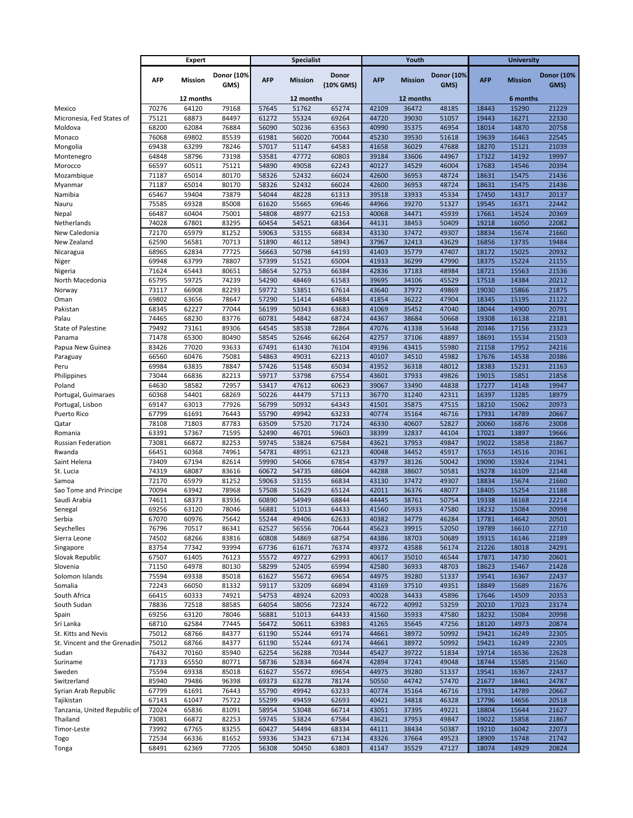|                                            | <b>Expert</b>  |                | <b>Specialist</b> |                |                |                | Youth          |                | <b>University</b> |                |                |                   |
|--------------------------------------------|----------------|----------------|-------------------|----------------|----------------|----------------|----------------|----------------|-------------------|----------------|----------------|-------------------|
|                                            |                |                | Donor (10%        |                |                | <b>Donor</b>   |                |                | <b>Donor (10%</b> |                |                | <b>Donor (10%</b> |
|                                            | <b>AFP</b>     | <b>Mission</b> | GMS)              | <b>AFP</b>     | <b>Mission</b> | (10% GMS)      | AFP            | <b>Mission</b> | GMS)              | <b>AFP</b>     | <b>Mission</b> | GMS)              |
|                                            |                | 12 months      |                   |                | 12 months      |                |                | 12 months      |                   |                | 6 months       |                   |
| Mexico                                     | 70276          | 64120          | 79168             | 57645          | 51762          | 65274          | 42109          | 36472          | 48185             | 18443          | 15290          | 21229             |
| Micronesia, Fed States of                  | 75121          | 68873          | 84497             | 61272          | 55324          | 69264          | 44720          | 39030          | 51057             | 19443          | 16271          | 22330             |
| Moldova                                    | 68200          | 62084          | 76884             | 56090          | 50236          | 63563          | 40990          | 35375          | 46954             | 18014          | 14870          | 20758             |
| Monaco                                     | 76068          | 69802          | 85539             | 61981          | 56020          | 70044          | 45230          | 39530          | 51618             | 19639          | 16463          | 22545             |
| Mongolia                                   | 69438          | 63299          | 78246             | 57017          | 51147          | 64583          | 41658          | 36029          | 47688             | 18270          | 15121          | 21039             |
| Montenegro                                 | 64848          | 58796          | 73198             | 53581          | 47772<br>49058 | 60803          | 39184          | 33606          | 44967             | 17322          | 14192          | 19997             |
| Morocco<br>Mozambique                      | 66597<br>71187 | 60511<br>65014 | 75121<br>80170    | 54890<br>58326 | 52432          | 62243<br>66024 | 40127<br>42600 | 34529<br>36953 | 46004<br>48724    | 17683<br>18631 | 14546<br>15475 | 20394<br>21436    |
| Myanmar                                    | 71187          | 65014          | 80170             | 58326          | 52432          | 66024          | 42600          | 36953          | 48724             | 18631          | 15475          | 21436             |
| Namibia                                    | 65467          | 59404          | 73879             | 54044          | 48228          | 61313          | 39518          | 33933          | 45334             | 17450          | 14317          | 20137             |
| Nauru                                      | 75585          | 69328          | 85008             | 61620          | 55665          | 69646          | 44966          | 39270          | 51327             | 19545          | 16371          | 22442             |
| Nepal                                      | 66487          | 60404          | 75001             | 54808          | 48977          | 62153          | 40068          | 34471          | 45939             | 17661          | 14524          | 20369             |
| Netherlands                                | 74028          | 67801          | 83295             | 60454          | 54521          | 68364          | 44131          | 38453          | 50409             | 19218          | 16050          | 22082             |
| New Caledonia                              | 72170          | 65979          | 81252             | 59063          | 53155          | 66834          | 43130          | 37472          | 49307             | 18834          | 15674          | 21660             |
| New Zealand                                | 62590          | 56581          | 70713             | 51890          | 46112          | 58943          | 37967          | 32413          | 43629             | 16856          | 13735          | 19484             |
| Nicaragua                                  | 68965<br>69948 | 62834<br>63799 | 77725<br>78807    | 56663<br>57399 | 50798<br>51521 | 64193<br>65004 | 41403<br>41933 | 35779<br>36299 | 47407<br>47990    | 18172<br>18375 | 15025<br>15224 | 20932<br>21155    |
| Niger<br>Nigeria                           | 71624          | 65443          | 80651             | 58654          | 52753          | 66384          | 42836          | 37183          | 48984             | 18721          | 15563          | 21536             |
| North Macedonia                            | 65795          | 59725          | 74239             | 54290          | 48469          | 61583          | 39695          | 34106          | 45529             | 17518          | 14384          | 20212             |
| Norway                                     | 73117          | 66908          | 82293             | 59772          | 53851          | 67614          | 43640          | 37972          | 49869             | 19030          | 15866          | 21875             |
| Oman                                       | 69802          | 63656          | 78647             | 57290          | 51414          | 64884          | 41854          | 36222          | 47904             | 18345          | 15195          | 21122             |
| Pakistan                                   | 68345          | 62227          | 77044             | 56199          | 50343          | 63683          | 41069          | 35452          | 47040             | 18044          | 14900          | 20791             |
| Palau                                      | 74465          | 68230          | 83776             | 60781          | 54842          | 68724          | 44367          | 38684          | 50668             | 19308          | 16138          | 22181             |
| <b>State of Palestine</b>                  | 79492          | 73161          | 89306             | 64545          | 58538          | 72864          | 47076          | 41338          | 53648             | 20346          | 17156          | 23323             |
| Panama                                     | 71478          | 65300          | 80490             | 58545          | 52646          | 66264          | 42757          | 37106          | 48897             | 18691          | 15534          | 21503             |
| Papua New Guinea                           | 83426          | 77020<br>60476 | 93633<br>75081    | 67491          | 61430<br>49031 | 76104<br>62213 | 49196<br>40107 | 43415<br>34510 | 55980<br>45982    | 21158<br>17676 | 17952<br>14538 | 24216<br>20386    |
| Paraguay<br>Peru                           | 66560<br>69984 | 63835          | 78847             | 54863<br>57426 | 51548          | 65034          | 41952          | 36318          | 48012             | 18383          | 15231          | 21163             |
| Philippines                                | 73044          | 66836          | 82213             | 59717          | 53798          | 67554          | 43601          | 37933          | 49826             | 19015          | 15851          | 21858             |
| Poland                                     | 64630          | 58582          | 72957             | 53417          | 47612          | 60623          | 39067          | 33490          | 44838             | 17277          | 14148          | 19947             |
| Portugal, Guimaraes                        | 60368          | 54401          | 68269             | 50226          | 44479          | 57113          | 36770          | 31240          | 42311             | 16397          | 13285          | 18979             |
| Portugal, Lisbon                           | 69147          | 63013          | 77926             | 56799          | 50932          | 64343          | 41501          | 35875          | 47515             | 18210          | 15062          | 20973             |
| <b>Puerto Rico</b>                         | 67799          | 61691          | 76443             | 55790          | 49942          | 63233          | 40774          | 35164          | 46716             | 17931          | 14789          | 20667             |
| Qatar                                      | 78108          | 71803          | 87783             | 63509          | 57520          | 71724          | 46330          | 40607          | 52827             | 20060          | 16876          | 23008             |
| Romania                                    | 63391<br>73081 | 57367<br>66872 | 71595<br>82253    | 52490<br>59745 | 46701<br>53824 | 59603<br>67584 | 38399<br>43621 | 32837<br>37953 | 44104<br>49847    | 17021<br>19022 | 13897<br>15858 | 19666<br>21867    |
| Russian Federation<br>Rwanda               | 66451          | 60368          | 74961             | 54781          | 48951          | 62123          | 40048          | 34452          | 45917             | 17653          | 14516          | 20361             |
| Saint Helena                               | 73409          | 67194          | 82614             | 59990          | 54066          | 67854          | 43797          | 38126          | 50042             | 19090          | 15924          | 21941             |
| St. Lucia                                  | 74319          | 68087          | 83616             | 60672          | 54735          | 68604          | 44288          | 38607          | 50581             | 19278          | 16109          | 22148             |
| Samoa                                      | 72170          | 65979          | 81252             | 59063          | 53155          | 66834          | 43130          | 37472          | 49307             | 18834          | 15674          | 21660             |
| Sao Tome and Principe                      | 70094          | 63942          | 78968             | 57508          | 51629          | 65124          | 42011          | 36376          | 48077             | 18405          | 15254          | 21188             |
| Saudi Arabia                               | 74611          | 68373          | 83936             | 60890          | 54949          | 68844          | 44445          | 38761          | 50754             | 19338          | 16168          | 22214             |
| Senegal                                    | 69256          | 63120          | 78046             | 56881          | 51013          | 64433          | 41560          | 35933          | 47580             | 18232          | 15084          | 20998             |
| Serbia                                     | 67070          | 60976          | 75642             | 55244          | 49406          | 62633          | 40382          | 34779          | 46284             | 17781          | 14642          | 20501             |
| Seychelles<br>Sierra Leone                 | 76796<br>74502 | 70517<br>68266 | 86341<br>83816    | 62527<br>60808 | 56556<br>54869 | 70644<br>68754 | 45623<br>44386 | 39915<br>38703 | 52050<br>50689    | 19789<br>19315 | 16610<br>16146 | 22710<br>22189    |
| Singapore                                  | 83754          | 77342          | 93994             | 67736          | 61671          | 76374          | 49372          | 43588          | 56174             | 21226          | 18018          | 24291             |
| Slovak Republic                            | 67507          | 61405          | 76123             | 55572          | 49727          | 62993          | 40617          | 35010          | 46544             | 17871          | 14730          | 20601             |
| Slovenia                                   | 71150          | 64978          | 80130             | 58299          | 52405          | 65994          | 42580          | 36933          | 48703             | 18623          | 15467          | 21428             |
| Solomon Islands                            | 75594          | 69338          | 85018             | 61627          | 55672          | 69654          | 44975          | 39280          | 51337             | 19541          | 16367          | 22437             |
| Somalia                                    | 72243          | 66050          | 81332             | 59117          | 53209          | 66894          | 43169          | 37510          | 49351             | 18849          | 15689          | 21676             |
| South Africa                               | 66415          | 60333          | 74921             | 54753          | 48924          | 62093          | 40028          | 34433          | 45896             | 17646          | 14509          | 20353             |
| South Sudan                                | 78836          | 72518          | 88585             | 64054          | 58056          | 72324          | 46722          | 40992          | 53259             | 20210          | 17023          | 23174             |
| Spain<br>Sri Lanka                         | 69256<br>68710 | 63120<br>62584 | 78046<br>77445    | 56881<br>56472 | 51013<br>50611 | 64433<br>63983 | 41560<br>41265 | 35933<br>35645 | 47580<br>47256    | 18232<br>18120 | 15084<br>14973 | 20998<br>20874    |
| St. Kitts and Nevis                        | 75012          | 68766          | 84377             | 61190          | 55244          | 69174          | 44661          | 38972          | 50992             | 19421          | 16249          | 22305             |
| St. Vincent and the Grenadin               | 75012          | 68766          | 84377             | 61190          | 55244          | 69174          | 44661          | 38972          | 50992             | 19421          | 16249          | 22305             |
| Sudan                                      | 76432          | 70160          | 85940             | 62254          | 56288          | 70344          | 45427          | 39722          | 51834             | 19714          | 16536          | 22628             |
| Suriname                                   | 71733          | 65550          | 80771             | 58736          | 52834          | 66474          | 42894          | 37241          | 49048             | 18744          | 15585          | 21560             |
| Sweden                                     | 75594          | 69338          | 85018             | 61627          | 55672          | 69654          | 44975          | 39280          | 51337             | 19541          | 16367          | 22437             |
| Switzerland                                | 85940          | 79486          | 96398             | 69373          | 63278          | 78174          | 50550          | 44742          | 57470             | 21677          | 18461          | 24787             |
| Syrian Arab Republic                       | 67799          | 61691          | 76443             | 55790          | 49942          | 63233          | 40774          | 35164          | 46716             | 17931          | 14789          | 20667             |
| Tajikistan<br>Tanzania, United Republic of | 67143<br>72024 | 61047<br>65836 | 75722<br>81091    | 55299<br>58954 | 49459<br>53048 | 62693<br>66714 | 40421<br>43051 | 34818<br>37395 | 46328<br>49221    | 17796<br>18804 | 14656<br>15644 | 20518<br>21627    |
| Thailand                                   | 73081          | 66872          | 82253             | 59745          | 53824          | 67584          | 43621          | 37953          | 49847             | 19022          | 15858          | 21867             |
| Timor-Leste                                | 73992          | 67765          | 83255             | 60427          | 54494          | 68334          | 44111          | 38434          | 50387             | 19210          | 16042          | 22073             |
| Togo                                       | 72534          | 66336          | 81652             | 59336          | 53423          | 67134          | 43326          | 37664          | 49523             | 18909          | 15748          | 21742             |
| Tonga                                      | 68491          | 62369          | 77205             | 56308          | 50450          | 63803          | 41147          | 35529          | 47127             | 18074          | 14929          | 20824             |